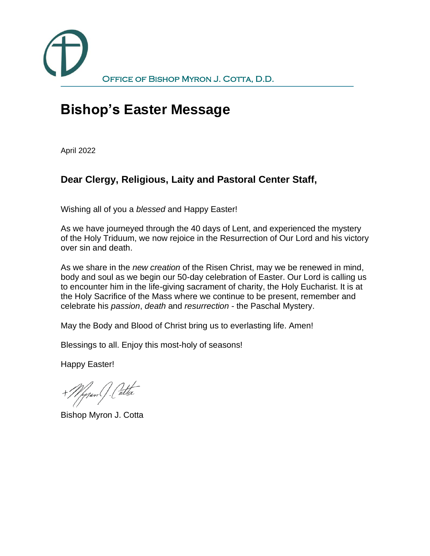

## **Bishop's Easter Message**

April 2022

## **Dear Clergy, Religious, Laity and Pastoral Center Staff,**

Wishing all of you a *blessed* and Happy Easter!

As we have journeyed through the 40 days of Lent, and experienced the mystery of the Holy Triduum, we now rejoice in the Resurrection of Our Lord and his victory over sin and death.

As we share in the *new creation* of the Risen Christ, may we be renewed in mind, body and soul as we begin our 50-day celebration of Easter. Our Lord is calling us to encounter him in the life-giving sacrament of charity, the Holy Eucharist. It is at the Holy Sacrifice of the Mass where we continue to be present, remember and celebrate his *passion*, *death* and *resurrection* - the Paschal Mystery.

May the Body and Blood of Christ bring us to everlasting life. Amen!

Blessings to all. Enjoy this most-holy of seasons!

Happy Easter!

+*Myrn* (). C<sup>atla</sup>

Bishop Myron J. Cotta